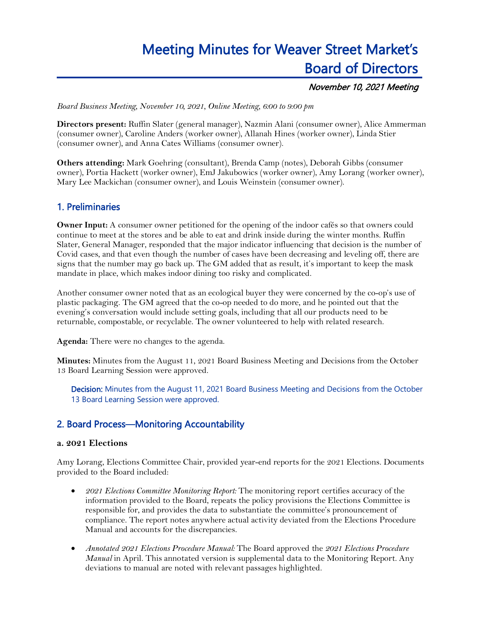# Meeting Minutes for Weaver Street Market's Board of Directors

## November 10, 2021 Meeting

*Board Business Meeting, November 10, 2021, Online Meeting, 6:00 to 9:00 pm*

**Directors present:** Ruffin Slater (general manager), Nazmin Alani (consumer owner), Alice Ammerman (consumer owner), Caroline Anders (worker owner), Allanah Hines (worker owner), Linda Stier (consumer owner), and Anna Cates Williams (consumer owner).

**Others attending:** Mark Goehring (consultant), Brenda Camp (notes), Deborah Gibbs (consumer owner), Portia Hackett (worker owner), EmJ Jakubowics (worker owner), Amy Lorang (worker owner), Mary Lee Mackichan (consumer owner), and Louis Weinstein (consumer owner).

# 1. Preliminaries

**Owner Input:** A consumer owner petitioned for the opening of the indoor cafés so that owners could continue to meet at the stores and be able to eat and drink inside during the winter months. Ruffin Slater, General Manager, responded that the major indicator influencing that decision is the number of Covid cases, and that even though the number of cases have been decreasing and leveling off, there are signs that the number may go back up. The GM added that as result, it's important to keep the mask mandate in place, which makes indoor dining too risky and complicated.

Another consumer owner noted that as an ecological buyer they were concerned by the co-op's use of plastic packaging. The GM agreed that the co-op needed to do more, and he pointed out that the evening's conversation would include setting goals, including that all our products need to be returnable, compostable, or recyclable. The owner volunteered to help with related research.

**Agenda:** There were no changes to the agenda.

**Minutes:** Minutes from the August 11, 2021 Board Business Meeting and Decisions from the October 13 Board Learning Session were approved.

Decision: Minutes from the August 11, 2021 Board Business Meeting and Decisions from the October 13 Board Learning Session were approved.

# 2. Board Process—Monitoring Accountability

### **a. 2021 Elections**

Amy Lorang, Elections Committee Chair, provided year-end reports for the 2021 Elections. Documents provided to the Board included:

- *2021 Elections Committee Monitoring Report:* The monitoring report certifies accuracy of the information provided to the Board, repeats the policy provisions the Elections Committee is responsible for, and provides the data to substantiate the committee's pronouncement of compliance. The report notes anywhere actual activity deviated from the Elections Procedure Manual and accounts for the discrepancies.
- *Annotated 2021 Elections Procedure Manual:* The Board approved the *2021 Elections Procedure Manual* in April. This annotated version is supplemental data to the Monitoring Report. Any deviations to manual are noted with relevant passages highlighted.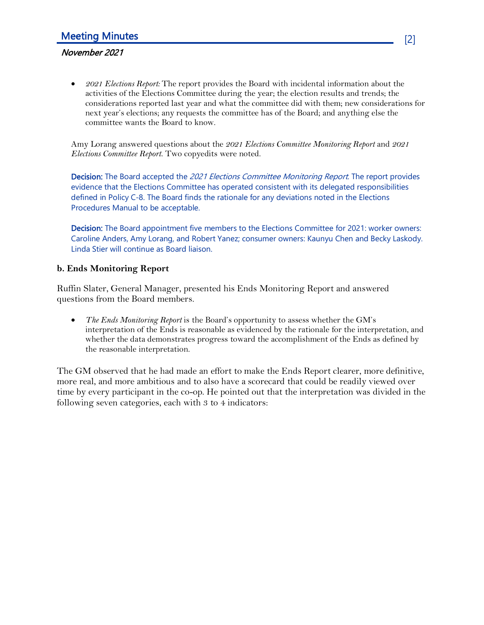## November 2021

• *2021 Elections Report:* The report provides the Board with incidental information about the activities of the Elections Committee during the year; the election results and trends; the considerations reported last year and what the committee did with them; new considerations for next year's elections; any requests the committee has of the Board; and anything else the committee wants the Board to know.

Amy Lorang answered questions about the *2021 Elections Committee Monitoring Report* and *2021 Elections Committee Report*. Two copyedits were noted.

Decision: The Board accepted the 2021 Elections Committee Monitoring Report. The report provides evidence that the Elections Committee has operated consistent with its delegated responsibilities defined in Policy C-8. The Board finds the rationale for any deviations noted in the Elections Procedures Manual to be acceptable.

Decision: The Board appointment five members to the Elections Committee for 2021: worker owners: Caroline Anders, Amy Lorang, and Robert Yanez; consumer owners: Kaunyu Chen and Becky Laskody. Linda Stier will continue as Board liaison.

## **b. Ends Monitoring Report**

Ruffin Slater, General Manager, presented his Ends Monitoring Report and answered questions from the Board members.

• *The Ends Monitoring Report* is the Board's opportunity to assess whether the GM's interpretation of the Ends is reasonable as evidenced by the rationale for the interpretation, and whether the data demonstrates progress toward the accomplishment of the Ends as defined by the reasonable interpretation.

The GM observed that he had made an effort to make the Ends Report clearer, more definitive, more real, and more ambitious and to also have a scorecard that could be readily viewed over time by every participant in the co-op. He pointed out that the interpretation was divided in the following seven categories, each with 3 to 4 indicators: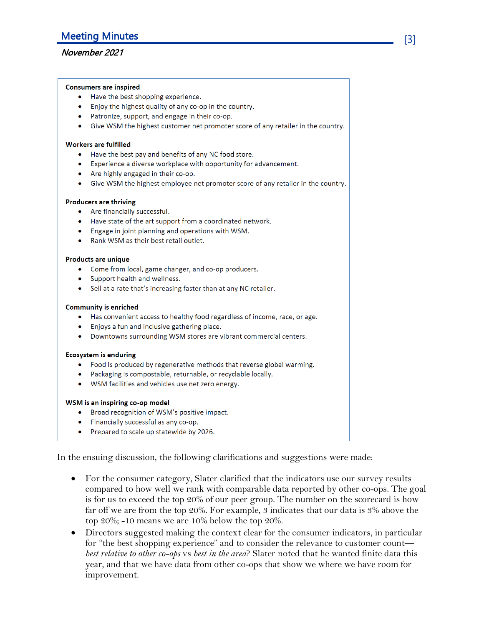## November 2021

#### **Consumers are inspired**

- Have the best shopping experience.
- Enjoy the highest quality of any co-op in the country.
- Patronize, support, and engage in their co-op.
- Give WSM the highest customer net promoter score of any retailer in the country.

#### **Workers are fulfilled**

- Have the best pay and benefits of any NC food store.
- Experience a diverse workplace with opportunity for advancement.
- Are highly engaged in their co-op.
- Give WSM the highest employee net promoter score of any retailer in the country.

#### **Producers are thriving**

- Are financially successful.
- Have state of the art support from a coordinated network.
- Engage in joint planning and operations with WSM.
- Rank WSM as their best retail outlet.

#### **Products are unique**

- Come from local, game changer, and co-op producers.
- Support health and wellness.
- Sell at a rate that's increasing faster than at any NC retailer.

#### **Community is enriched**

- Has convenient access to healthy food regardless of income, race, or age.
- Enjoys a fun and inclusive gathering place.
- Downtowns surrounding WSM stores are vibrant commercial centers.

#### **Ecosystem is enduring**

- Food is produced by regenerative methods that reverse global warming.
- Packaging is compostable, returnable, or recyclable locally.
- WSM facilities and vehicles use net zero energy.

#### WSM is an inspiring co-op model

- Broad recognition of WSM's positive impact.
- Financially successful as any co-op.
- Prepared to scale up statewide by 2026.

In the ensuing discussion, the following clarifications and suggestions were made:

- For the consumer category, Slater clarified that the indicators use our survey results compared to how well we rank with comparable data reported by other co-ops. The goal is for us to exceed the top 20% of our peer group. The number on the scorecard is how far off we are from the top 20%. For example, 3 indicates that our data is  $3\%$  above the top  $20\%$ ; -10 means we are 10% below the top  $20\%$ .
- Directors suggested making the context clear for the consumer indicators, in particular for "the best shopping experience" and to consider the relevance to customer count best relative to other co-ops vs best in the area? Slater noted that he wanted finite data this year, and that we have data from other co-ops that show we where we have room for improvement.

[3]